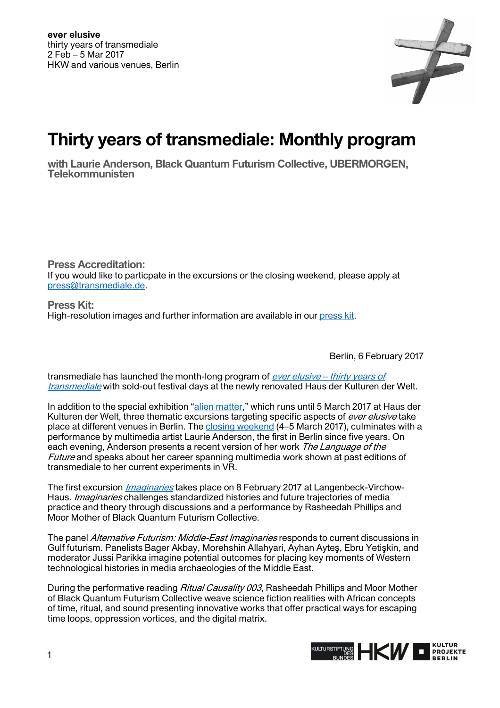

## **Thirty years of transmediale: Monthly program**

**with Laurie Anderson, Black Quantum Futurism Collective, UBERMORGEN, Telekommunisten** 

**Press Accreditation:**  If you would like to particpate in the excursions or the closing weekend, please apply at [press@transmediale.de.](mailto:press@transmediale.de)

**Press Kit:**  High-resolution images and further information are available in our [press kit.](https://transmediale.de/festival/2017/press)

Berlin, 6 February 2017

transmediale has launched the month-long program of ever elusive – thirty years of [transmediale](https://2017.transmediale.de/) with sold-out festival days at the newly renovated Haus der Kulturen der Welt.

In addition to the special exhibition "[alien matter,](https://2017.transmediale.de/festival/2017/exhibition)" which runs until 5 March 2017 at Haus der Kulturen der Welt, three thematic excursions targeting specific aspects of ever elusive take place at different venues in Berlin. The [closing weekend \(](https://2017.transmediale.de/festival/2017/program/closing-weekend)4–5 March 2017), culminates with a performance by multimedia artist Laurie Anderson, the first in Berlin since five years. On each evening, Anderson presents a recent version of her work The Language of the Future and speaks about her career spanning multimedia work shown at past editions of transmediale to her current experiments in VR.

The first excursion *[Imaginaries](https://2017.transmediale.de/festival/2017/program/excursion-1)* takes place on 8 February 2017 at Langenbeck-Virchow-Haus. *Imaginaries* challenges standardized histories and future trajectories of media practice and theory through discussions and a performance by Rasheedah Phillips and Moor Mother of Black Quantum Futurism Collective.

The panel Alternative Futurism: Middle-East Imaginaries responds to current discussions in Gulf futurism. Panelists Bager Akbay, Morehshin Allahyari, Ayhan Ayteş, Ebru Yetişkin, and moderator Jussi Parikka imagine potential outcomes for placing key moments of Western technological histories in media archaeologies of the Middle East.

During the performative reading Ritual Causality 003, Rasheedah Phillips and Moor Mother of Black Quantum Futurism Collective weave science fiction realities with African concepts of time, ritual, and sound presenting innovative works that offer practical ways for escaping time loops, oppression vortices, and the digital matrix.

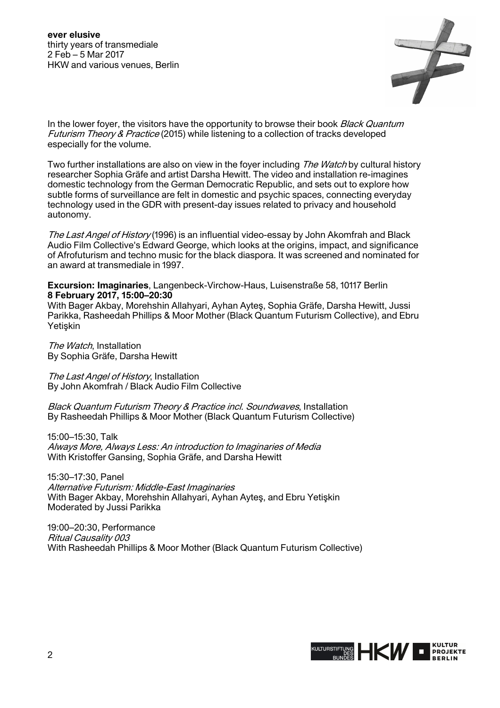

In the lower foyer, the visitors have the opportunity to browse their book Black Quantum Futurism Theory & Practice (2015) while listening to a collection of tracks developed especially for the volume.

Two further installations are also on view in the foyer including The Watch by cultural history researcher Sophia Gräfe and artist Darsha Hewitt. The video and installation re-imagines domestic technology from the German Democratic Republic, and sets out to explore how subtle forms of surveillance are felt in domestic and psychic spaces, connecting everyday technology used in the GDR with present-day issues related to privacy and household autonomy.

The Last Angel of History (1996) is an influential video-essay by John Akomfrah and Black Audio Film Collective's Edward George, which looks at the origins, impact, and significance of Afrofuturism and techno music for the black diaspora. It was screened and nominated for an award at transmediale in 1997.

**Excursion: Imaginaries**, Langenbeck-Virchow-Haus, Luisenstraße 58, 10117 Berlin **8 February 2017, 15:00–20:30**

With Bager Akbay, Morehshin Allahyari, Ayhan Ayteş, Sophia Gräfe, Darsha Hewitt, Jussi Parikka, Rasheedah Phillips & Moor Mother (Black Quantum Futurism Collective), and Ebru Yetiskin

The Watch, Installation By Sophia Gräfe, Darsha Hewitt

The Last Angel of History, Installation By John Akomfrah / Black Audio Film Collective

Black Quantum Futurism Theory & Practice incl. Soundwaves, Installation By Rasheedah Phillips & Moor Mother (Black Quantum Futurism Collective)

15:00–15:30, Talk Always More, Always Less: An introduction to Imaginaries of Media With Kristoffer Gansing, Sophia Gräfe, and Darsha Hewitt

15:30–17:30, Panel Alternative Futurism: Middle-East Imaginaries With Bager Akbay, Morehshin Allahyari, Ayhan Ayteş, and Ebru Yetişkin Moderated by Jussi Parikka

19:00–20:30, Performance Ritual Causality 003 With Rasheedah Phillips & Moor Mother (Black Quantum Futurism Collective)